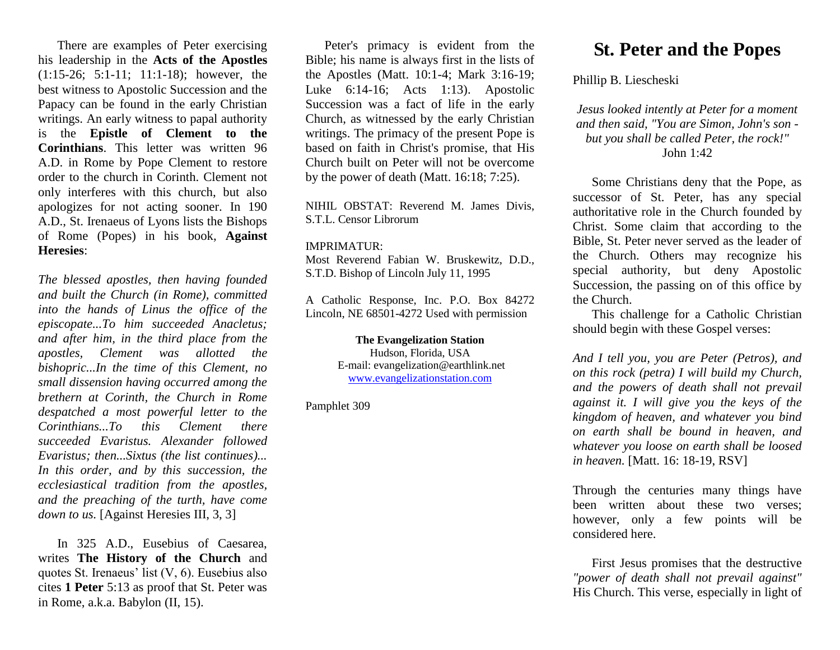There are examples of Peter exercising his leadership in the **Acts of the Apostles** (1:15-26; 5:1-11; 11:1-18); however, the best witness to Apostolic Succession and the Papacy can be found in the early Christian writings. An early witness to papal authority is the **Epistle of Clement to the Corinthians**. This letter was written 96 A.D. in Rome by Pope Clement to restore order to the church in Corinth. Clement not only interferes with this church, but also apologizes for not acting sooner. In 190 A.D., St. Irenaeus of Lyons lists the Bishops of Rome (Popes) in his book, **Against Heresies**:

*The blessed apostles, then having founded and built the Church (in Rome), committed into the hands of Linus the office of the episcopate...To him succeeded Anacletus; and after him, in the third place from the apostles, Clement was allotted the bishopric...In the time of this Clement, no small dissension having occurred among the brethern at Corinth, the Church in Rome despatched a most powerful letter to the Corinthians...To this Clement there succeeded Evaristus. Alexander followed Evaristus; then...Sixtus (the list continues)... In this order, and by this succession, the ecclesiastical tradition from the apostles, and the preaching of the turth, have come down to us.* [Against Heresies III, 3, 3]

In 325 A.D., Eusebius of Caesarea, writes **The History of the Church** and quotes St. Irenaeus' list (V, 6). Eusebius also cites **1 Peter** 5:13 as proof that St. Peter was in Rome, a.k.a. Babylon (II, 15).

Peter's primacy is evident from the Bible; his name is always first in the lists of the Apostles (Matt. 10:1-4; Mark 3:16-19; Luke 6:14-16; Acts 1:13). Apostolic Succession was a fact of life in the early Church, as witnessed by the early Christian writings. The primacy of the present Pope is based on faith in Christ's promise, that His Church built on Peter will not be overcome by the power of death (Matt. 16:18; 7:25).

NIHIL OBSTAT: Reverend M. James Divis, S.T.L. Censor Librorum

## IMPRIMATUR:

Most Reverend Fabian W. Bruskewitz, D.D., S.T.D. Bishop of Lincoln July 11, 1995

A Catholic Response, Inc. P.O. Box 84272 Lincoln, NE 68501-4272 Used with permission

> **The Evangelization Station** Hudson, Florida, USA E-mail: evangelization@earthlink.net [www.evangelizationstation.com](http://www.pjpiisoe.org/)

Pamphlet 309

## **St. Peter and the Popes**

Phillip B. Liescheski

*Jesus looked intently at Peter for a moment and then said, "You are Simon, John's son but you shall be called Peter, the rock!"* John 1:42

Some Christians deny that the Pope, as successor of St. Peter, has any special authoritative role in the Church founded by Christ. Some claim that according to the Bible, St. Peter never served as the leader of the Church. Others may recognize his special authority, but deny Apostolic Succession, the passing on of this office by the Church.

This challenge for a Catholic Christian should begin with these Gospel verses:

*And I tell you, you are Peter (Petros), and on this rock (petra) I will build my Church, and the powers of death shall not prevail against it. I will give you the keys of the kingdom of heaven, and whatever you bind on earth shall be bound in heaven, and whatever you loose on earth shall be loosed in heaven.* [Matt. 16: 18-19, RSV]

Through the centuries many things have been written about these two verses; however, only a few points will be considered here.

First Jesus promises that the destructive *"power of death shall not prevail against"* His Church. This verse, especially in light of